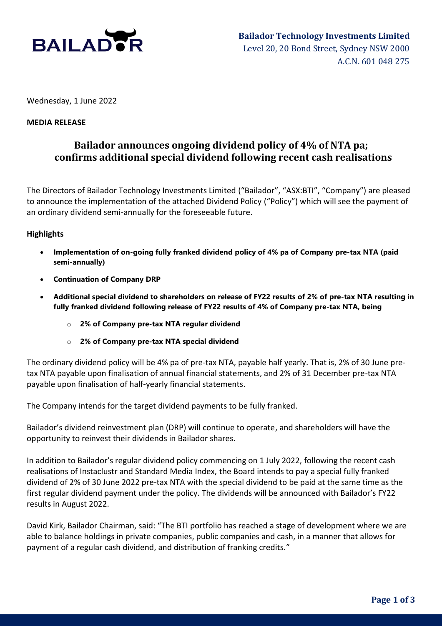

Wednesday, 1 June 2022

### **MEDIA RELEASE**

### **Bailador announces ongoing dividend policy of 4% of NTA pa; confirms additional special dividend following recent cash realisations**

The Directors of Bailador Technology Investments Limited ("Bailador", "ASX:BTI", "Company") are pleased to announce the implementation of the attached Dividend Policy ("Policy") which will see the payment of an ordinary dividend semi-annually for the foreseeable future.

### **Highlights**

- **Implementation of on-going fully franked dividend policy of 4% pa of Company pre-tax NTA (paid semi-annually)**
- **Continuation of Company DRP**
- **Additional special dividend to shareholders on release of FY22 results of 2% of pre-tax NTA resulting in fully franked dividend following release of FY22 results of 4% of Company pre-tax NTA, being**
	- o **2% of Company pre-tax NTA regular dividend**
	- o **2% of Company pre-tax NTA special dividend**

The ordinary dividend policy will be 4% pa of pre-tax NTA, payable half yearly. That is, 2% of 30 June pretax NTA payable upon finalisation of annual financial statements, and 2% of 31 December pre-tax NTA payable upon finalisation of half-yearly financial statements.

The Company intends for the target dividend payments to be fully franked.

Bailador's dividend reinvestment plan (DRP) will continue to operate, and shareholders will have the opportunity to reinvest their dividends in Bailador shares.

In addition to Bailador's regular dividend policy commencing on 1 July 2022, following the recent cash realisations of Instaclustr and Standard Media Index, the Board intends to pay a special fully franked dividend of 2% of 30 June 2022 pre-tax NTA with the special dividend to be paid at the same time as the first regular dividend payment under the policy. The dividends will be announced with Bailador's FY22 results in August 2022.

David Kirk, Bailador Chairman, said: "The BTI portfolio has reached a stage of development where we are able to balance holdings in private companies, public companies and cash, in a manner that allows for payment of a regular cash dividend, and distribution of franking credits."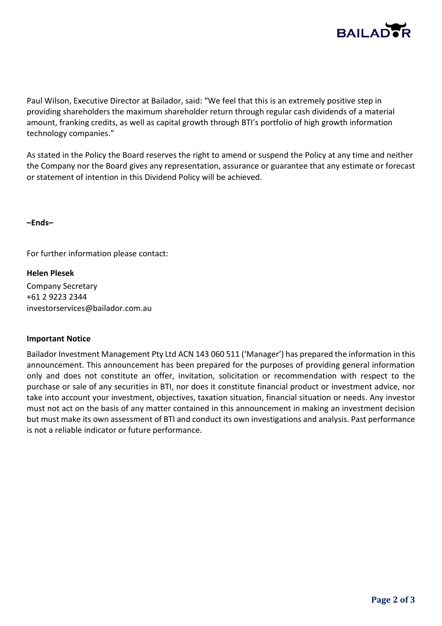

Paul Wilson, Executive Director at Bailador, said: "We feel that this is an extremely positive step in providing shareholders the maximum shareholder return through regular cash dividends of a material amount, franking credits, as well as capital growth through BTI's portfolio of high growth information technology companies."

As stated in the Policy the Board reserves the right to amend or suspend the Policy at any time and neither the Company nor the Board gives any representation, assurance or guarantee that any estimate or forecast or statement of intention in this Dividend Policy will be achieved.

**–Ends–**

For further information please contact:

**Helen Plesek** Company Secretary +61 2 9223 2344 investorservices@bailador.com.au

### **Important Notice**

Bailador Investment Management Pty Ltd ACN 143 060 511 ('Manager') has prepared the information in this announcement. This announcement has been prepared for the purposes of providing general information only and does not constitute an offer, invitation, solicitation or recommendation with respect to the purchase or sale of any securities in BTI, nor does it constitute financial product or investment advice, nor take into account your investment, objectives, taxation situation, financial situation or needs. Any investor must not act on the basis of any matter contained in this announcement in making an investment decision but must make its own assessment of BTI and conduct its own investigations and analysis. Past performance is not a reliable indicator or future performance.